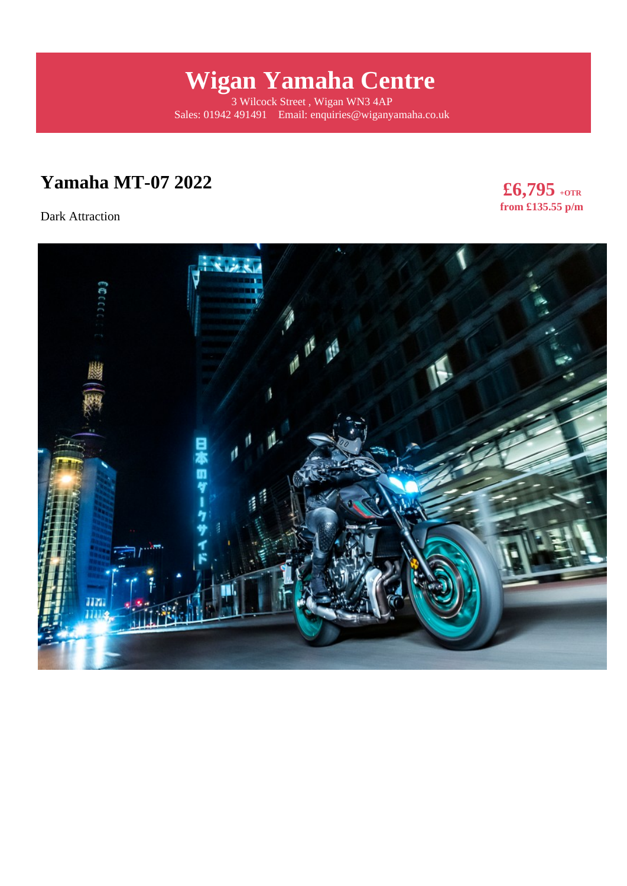# **Wigan Yamaha Centre**

3 Wilcock Street , Wigan WN3 4AP Sales: 01942 491491 Email: enquiries@wiganyamaha.co.uk

## **Yamaha MT-07 2022**

Dark Attraction

**£6,795 +OTR from £135.55 p/m** 

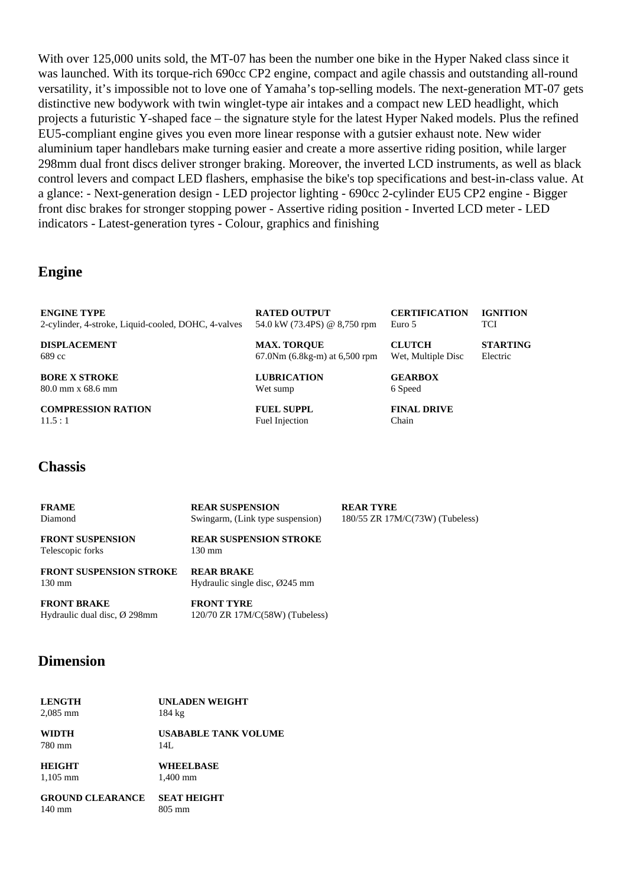With over 125,000 units sold, the MT-07 has been the number one bike in the Hyper Naked class since it was launched. With its torque-rich 690cc CP2 engine, compact and agile chassis and outstanding all-round versatility, it's impossible not to love one of Yamaha's top-selling models. The next-generation MT-07 gets distinctive new bodywork with twin winglet-type air intakes and a compact new LED headlight, which projects a futuristic Y-shaped face – the signature style for the latest Hyper Naked models. Plus the refined EU5-compliant engine gives you even more linear response with a gutsier exhaust note. New wider aluminium taper handlebars make turning easier and create a more assertive riding position, while larger 298mm dual front discs deliver stronger braking. Moreover, the inverted LCD instruments, as well as black control levers and compact LED flashers, emphasise the bike's top specifications and best-in-class value. At a glance: - Next-generation design - LED projector lighting - 690cc 2-cylinder EU5 CP2 engine - Bigger front disc brakes for stronger stopping power - Assertive riding position - Inverted LCD meter - LED indicators - Latest-generation tyres - Colour, graphics and finishing

#### **Engine**

| <b>ENGINE TYPE</b>                                  | <b>RATED OUTPUT</b>             | <b>CERTIFICATION</b> | <b>IGNITION</b> |
|-----------------------------------------------------|---------------------------------|----------------------|-----------------|
| 2-cylinder, 4-stroke, Liquid-cooled, DOHC, 4-valves | 54.0 kW (73.4PS) @ 8,750 rpm    | Euro 5               | <b>TCI</b>      |
| <b>DISPLACEMENT</b>                                 | <b>MAX. TOROUE</b>              | <b>CLUTCH</b>        | <b>STARTING</b> |
| 689 cc                                              | $67.0Nm (6.8kg-m)$ at 6,500 rpm | Wet, Multiple Disc   | Electric        |
| <b>BORE X STROKE</b>                                | <b>LUBRICATION</b>              | <b>GEARBOX</b>       |                 |
| $80.0$ mm x 68.6 mm                                 | Wet sump                        | 6 Speed              |                 |

**COMPRESSION RATION**  $11.5 \cdot 1$ 

**FUEL SUPPL** Fuel Injection

**FINAL DRIVE** Chain

#### **Chassis**

| <b>FRAME</b><br>Diamond                            | <b>REAR SUSPENSION</b><br>Swingarm, (Link type suspension)       | <b>REAR TYRE</b><br>180/55 ZR 17M/C(73W) (Tubeless) |
|----------------------------------------------------|------------------------------------------------------------------|-----------------------------------------------------|
| <b>FRONT SUSPENSION</b><br>Telescopic forks        | <b>REAR SUSPENSION STROKE</b><br>130 mm                          |                                                     |
| <b>FRONT SUSPENSION STROKE</b><br>$130 \text{ mm}$ | <b>REAR BRAKE</b><br>Hydraulic single disc, $\varnothing$ 245 mm |                                                     |

**FRONT BRAKE** Hydraulic dual disc, Ø 298mm **FRONT TYRE** 120/70 ZR 17M/C(58W) (Tubeless)

#### **Dimension**

| <b>LENGTH</b> |  |
|---------------|--|
| $2,085$ mm    |  |

**UNLADEN WEIGHT** 184 kg

**USABABLE TANK VOLUME** 14L

**HEIGHT** 1,105 mm

**WIDTH** 780 mm

> **WHEELBASE** 1,400 mm

**GROUND CLEARANCE SEAT HEIGHT** 140 mm

805 mm